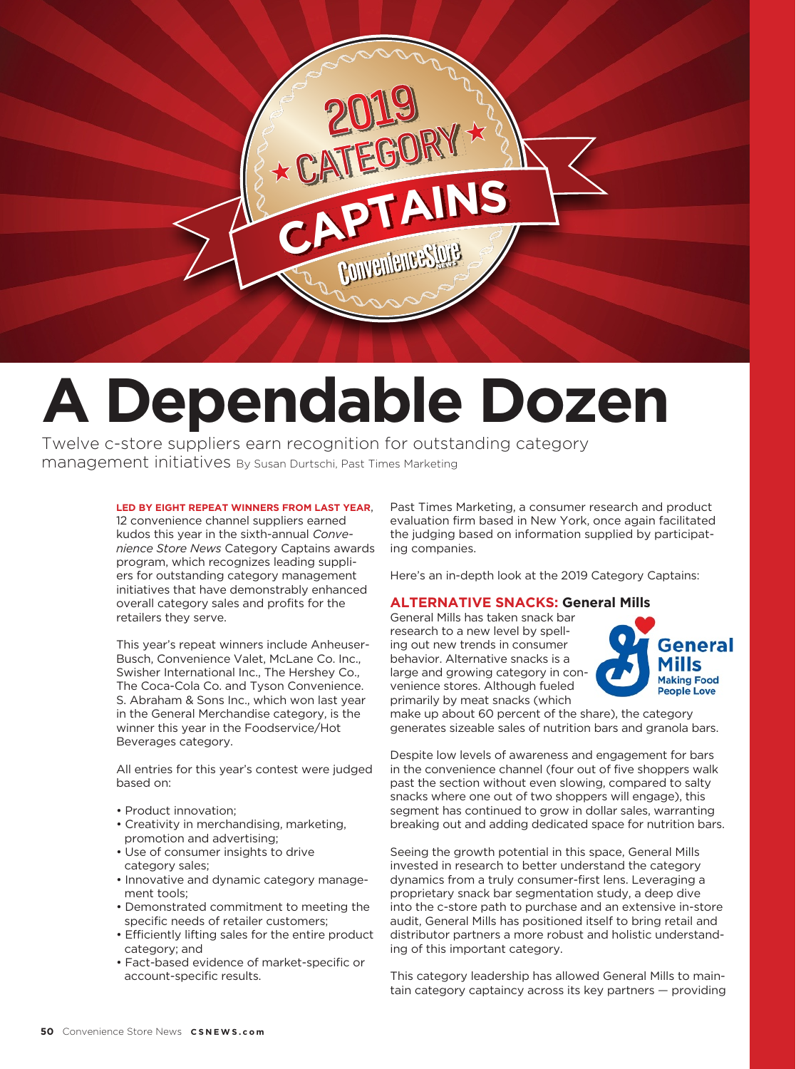

# **A Dependable Dozen**

Twelve c-store suppliers earn recognition for outstanding category management initiatives By Susan Durtschi, Past Times Marketing

#### **LED BY EIGHT REPEAT WINNERS FROM LAST YEAR**,

12 convenience channel suppliers earned kudos this year in the sixth-annual *Convenience Store News* Category Captains awards program, which recognizes leading suppliers for outstanding category management initiatives that have demonstrably enhanced overall category sales and profits for the retailers they serve.

This year's repeat winners include Anheuser-Busch, Convenience Valet, McLane Co. Inc., Swisher International Inc., The Hershey Co., The Coca-Cola Co. and Tyson Convenience. S. Abraham & Sons Inc., which won last year in the General Merchandise category, is the winner this year in the Foodservice/Hot Beverages category.

All entries for this year's contest were judged based on:

- Product innovation;
- Creativity in merchandising, marketing, promotion and advertising;
- Use of consumer insights to drive category sales;
- Innovative and dynamic category management tools;
- Demonstrated commitment to meeting the specific needs of retailer customers;
- Efficiently lifting sales for the entire product category; and
- Fact-based evidence of market-specific or account-specific results.

Past Times Marketing, a consumer research and product evaluation firm based in New York, once again facilitated the judging based on information supplied by participating companies.

Here's an in-depth look at the 2019 Category Captains:

## **ALTERNATIVE SNACKS: General Mills**

General Mills has taken snack bar research to a new level by spelling out new trends in consumer behavior. Alternative snacks is a large and growing category in convenience stores. Although fueled primarily by meat snacks (which



make up about 60 percent of the share), the category generates sizeable sales of nutrition bars and granola bars.

Despite low levels of awareness and engagement for bars in the convenience channel (four out of five shoppers walk past the section without even slowing, compared to salty snacks where one out of two shoppers will engage), this segment has continued to grow in dollar sales, warranting breaking out and adding dedicated space for nutrition bars.

Seeing the growth potential in this space, General Mills invested in research to better understand the category dynamics from a truly consumer-first lens. Leveraging a proprietary snack bar segmentation study, a deep dive into the c-store path to purchase and an extensive in-store audit, General Mills has positioned itself to bring retail and distributor partners a more robust and holistic understanding of this important category.

This category leadership has allowed General Mills to maintain category captaincy across its key partners — providing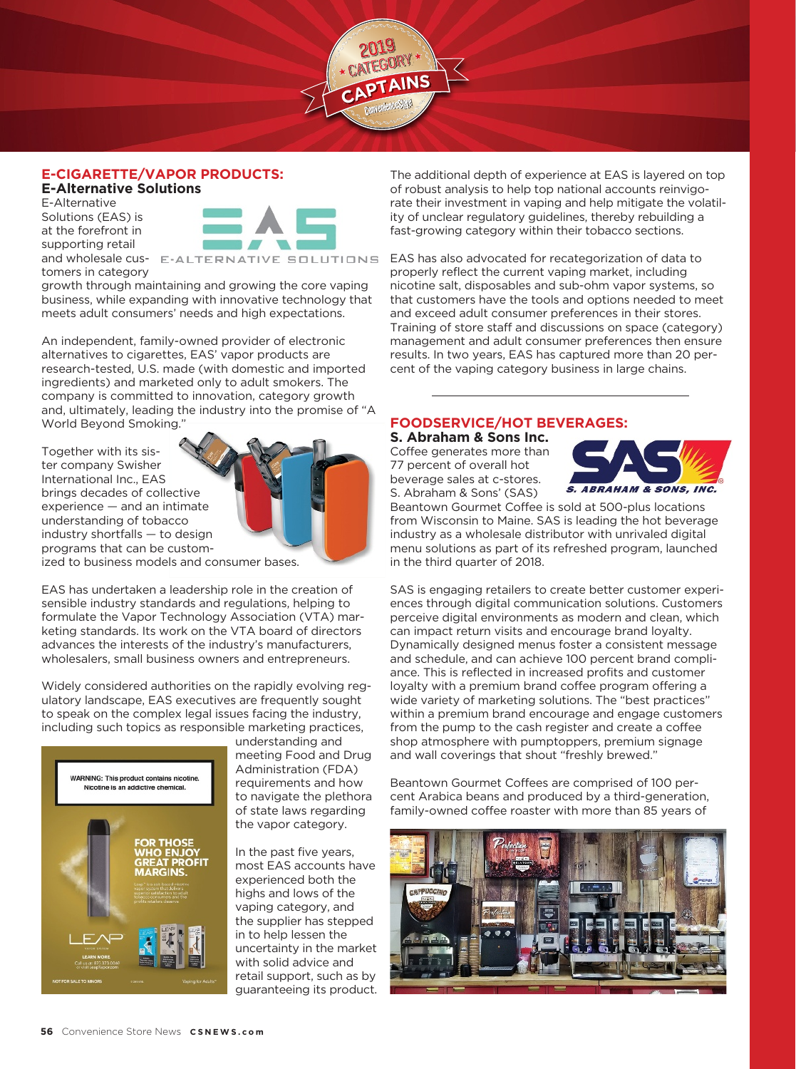#### **E-CIGARETTE/VAPOR PRODUCTS: E-Alternative Solutions**

E-Alternative Solutions (EAS) is at the forefront in supporting retail



 $CAPTAINS$ 

and wholesale cus- E-ALTERNATIVE SOLUTIONS tomers in category

growth through maintaining and growing the core vaping business, while expanding with innovative technology that meets adult consumers' needs and high expectations.

An independent, family-owned provider of electronic alternatives to cigarettes, EAS' vapor products are research-tested, U.S. made (with domestic and imported ingredients) and marketed only to adult smokers. The company is committed to innovation, category growth and, ultimately, leading the industry into the promise of "A World Beyond Smoking."

Together with its sister company Swisher International Inc., EAS brings decades of collective experience — and an intimate understanding of tobacco industry shortfalls — to design programs that can be customized to business models and consumer bases.

EAS has undertaken a leadership role in the creation of sensible industry standards and regulations, helping to formulate the Vapor Technology Association (VTA) marketing standards. Its work on the VTA board of directors advances the interests of the industry's manufacturers, wholesalers, small business owners and entrepreneurs.

Widely considered authorities on the rapidly evolving regulatory landscape, EAS executives are frequently sought to speak on the complex legal issues facing the industry, including such topics as responsible marketing practices,



understanding and meeting Food and Drug Administration (FDA) requirements and how to navigate the plethora of state laws regarding the vapor category.

In the past five years, most EAS accounts have experienced both the highs and lows of the vaping category, and the supplier has stepped in to help lessen the uncertainty in the market with solid advice and retail support, such as by guaranteeing its product. The additional depth of experience at EAS is layered on top of robust analysis to help top national accounts reinvigorate their investment in vaping and help mitigate the volatility of unclear regulatory guidelines, thereby rebuilding a fast-growing category within their tobacco sections.

EAS has also advocated for recategorization of data to properly reflect the current vaping market, including nicotine salt, disposables and sub-ohm vapor systems, so that customers have the tools and options needed to meet and exceed adult consumer preferences in their stores. Training of store staff and discussions on space (category) management and adult consumer preferences then ensure results. In two years, EAS has captured more than 20 percent of the vaping category business in large chains.

## **FOODSERVICE/HOT BEVERAGES:**

**S. Abraham & Sons Inc.** Coffee generates more than 77 percent of overall hot beverage sales at c-stores. S. Abraham & Sons' (SAS)



Beantown Gourmet Coffee is sold at 500-plus locations from Wisconsin to Maine. SAS is leading the hot beverage industry as a wholesale distributor with unrivaled digital menu solutions as part of its refreshed program, launched in the third quarter of 2018.

SAS is engaging retailers to create better customer experiences through digital communication solutions. Customers perceive digital environments as modern and clean, which can impact return visits and encourage brand loyalty. Dynamically designed menus foster a consistent message and schedule, and can achieve 100 percent brand compliance. This is reflected in increased profits and customer loyalty with a premium brand coffee program offering a wide variety of marketing solutions. The "best practices" within a premium brand encourage and engage customers from the pump to the cash register and create a coffee shop atmosphere with pumptoppers, premium signage and wall coverings that shout "freshly brewed."

Beantown Gourmet Coffees are comprised of 100 percent Arabica beans and produced by a third-generation, family-owned coffee roaster with more than 85 years of